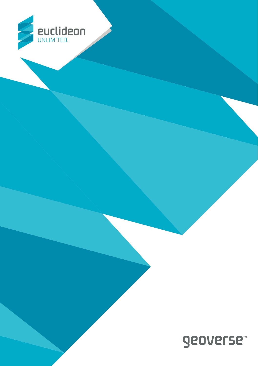

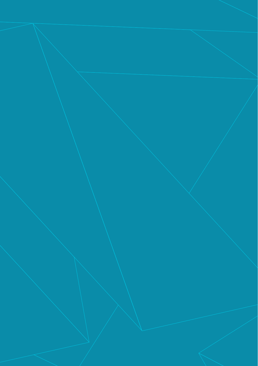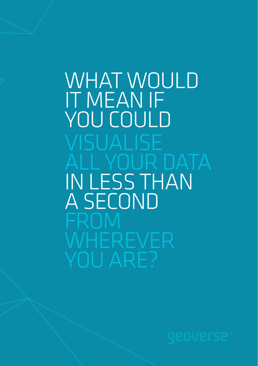# WHAT WOULD IT MEAN IF YOU COULD VISUALISE ALL YOUR DATA IN LESS THAN A SECOND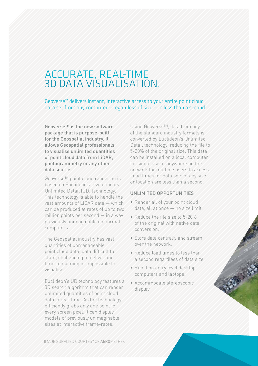### ACCURATE, REAL-TIME 3D DATA VISUALISATION.

Geoverse™ delivers instant, interactive access to your entire point cloud data set from any computer — regardless of size — in less than a second.

Geoverse™ is the new software package that is purpose-built for the Geospatial industry. It allows Geospatial professionals to visualise unlimited quantities of point cloud data from LiDAR, photogrammetry or any other data source.

Geoverse™ point cloud rendering is based on Euclideon's revolutionary Unlimited Detail (UD) technology. This technology is able to handle the vast amounts of LiDAR data — which can be produced at rates of up to two million points per second — in a way previously unimaginable on normal computers.

The Geospatial industry has vast quantities of unmanageable point cloud data; data difficult to store, challenging to deliver and time consuming or impossible to visualise.

Euclideon's UD technology features a 3D search algorithm that can render unlimited quantities of point cloud data in real-time. As the technology efficiently grabs only one point for every screen pixel, it can display models of previously unimaginable sizes at interactive frame-rates.

Using Geoverse™, data from any of the standard industry formats is converted by Euclideon's Unlimited Detail technology, reducing the file to 5-20% of the original size. This data can be installed on a local computer for single use or anywhere on the network for multiple users to access. Load times for data sets of any size or location are less than a second.

#### UNLIMITED OPPORTUNITIES

- Render all of your point cloud data, all at once — no size limit.
- Reduce the file size to 5-20% of the original with native data conversion.
- Store data centrally and stream over the network.
- Reduce load times to less than a second regardless of data size.
- Run it on entry level desktop computers and laptops.
- Accommodate stereoscopic display.

Image SUPPLIED COURTESY OF AEROMETREX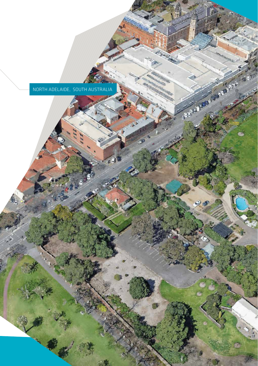NORTH ADELAIDE, SOUTH AUSTRALIA

**Base** 

 $\frac{1}{2}$ 

Second Marian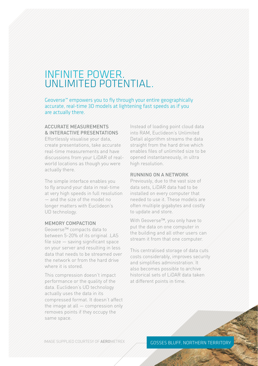## INFINITE POWER. UNLIMITED POTENTIAL.

Geoverse™ empowers you to fly through your entire geographically accurate, real-time 3D models at lightening fast speeds as if you are actually there.

#### ACCURATE MEASUREMENTS & INTERACTIVE PRESENTATIONS

Effortlessly visualise your data, create presentations, take accurate real-time measurements and have discussions from your LiDAR of realworld locations as though you were actually there.

The simple interface enables you to fly around your data in real-time at very high speeds in full resolution — and the size of the model no longer matters with Euclideon's UD technology.

#### MEMORY COMPACTION

Geoverse™ compacts data to between 5-20% of its original .LAS file size — saving significant space on your server and resulting in less data that needs to be streamed over the network or from the hard drive where it is stored.

This compression doesn't impact performance or the quality of the data. Euclideon's UD technology actually uses the data in its compressed format. It doesn't affect the image at all — compression only removes points if they occupy the same space.

Instead of loading point cloud data into RAM, Euclideon's Unlimited Detail algorithm streams the data straight from the hard drive which enables files of unlimited size to be opened instantaneously, in ultra high resolution.

#### RUNNING ON A NETWORK

Previously, due to the vast size of data sets, LiDAR data had to be installed on every computer that needed to use it. These models are often multiple gigabytes and costly to update and store.

With Geoverse™, you only have to put the data on one computer in the building and all other users can stream it from that one computer.

This centralised storage of data cuts costs considerably, improves security and simplifies administration. It also becomes possible to archive historical sets of LiDAR data taken at different points in time.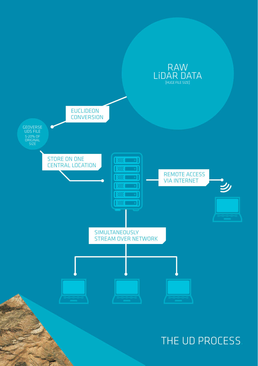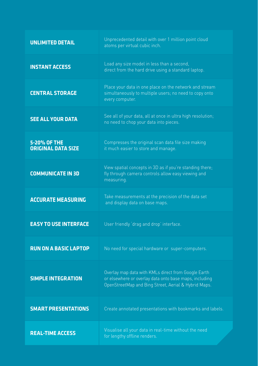| <b>UNLIMITED DETAIL</b>                   | Unprecedented detail with over 1 million point cloud<br>atoms per virtual cubic inch.                                                                                 |
|-------------------------------------------|-----------------------------------------------------------------------------------------------------------------------------------------------------------------------|
| <b>INSTANT ACCESS</b>                     | Load any size model in less than a second,<br>direct from the hard drive using a standard laptop.                                                                     |
| <b>CENTRAL STORAGE</b>                    | Place your data in one place on the network and stream<br>simultaneously to multiple users; no need to copy onto<br>every computer.                                   |
| <b>SEE ALL YOUR DATA</b>                  | See all of your data, all at once in ultra high resolution;<br>no need to chop your data into pieces.                                                                 |
| 5-20% OF THE<br><b>ORIGINAL DATA SIZE</b> | Compresses the original scan data file size making<br>it much easier to store and manage.                                                                             |
| <b>COMMUNICATE IN 3D</b>                  | View spatial concepts in 3D as if you're standing there;<br>fly through camera controls allow easy viewing and<br>measuring.                                          |
| <b>ACCURATE MEASURING</b>                 | Take measurements at the precision of the data set<br>and display data on base maps.                                                                                  |
| <b>EASY TO USE INTERFACE</b>              | User friendly 'drag and drop' interface.                                                                                                                              |
| <b>RUN ON A BASIC LAPTOP</b>              | No need for special hardware or super-computers.                                                                                                                      |
| <b>SIMPLE INTEGRATION</b>                 | Overlay map data with KMLs direct from Google Earth<br>or elsewhere or overlay data onto base maps, including<br>OpenStreetMap and Bing Street, Aerial & Hybrid Maps. |
| <b>SMART PRESENTATIONS</b>                | Create annotated presentations with bookmarks and labels.                                                                                                             |
| <b>REAL-TIME ACCESS</b>                   | Visualise all your data in real-time without the need<br>for lengthy offline renders.                                                                                 |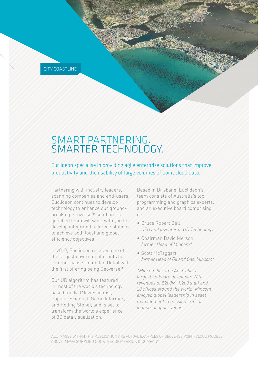## SMART PARTNERING. SMARTER TECHNOLOGY.

Euclideon specialise in providing agile enterprise solutions that improve productivity and the usability of large volumes of point cloud data.

Partnering with industry leaders, scanning companies and end-users, Euclideon continues to develop technology to enhance our groundbreaking Geoverse™ solution. Our qualified team will work with you to develop integrated tailored solutions to achieve both local and global efficiency objectives.

In 2010, Euclideon received one of the largest government grants to commercialise Unlimited Detail with the first offering being Geoverse™.

Our UD algorithm has featured in most of the world's technology based media (New Scientist) Popular Scientist, Game Informer, and Rolling Stone), and is set to transform the world's experience of 3D data visualization.

Based in Brisbane, Euclideon's team consists of Australia's top programming and graphics experts, and an executive board comprising of:

- Bruce Robert Dell *CEO and inventor of UD Technology*
- Chairman David Merson *former Head of Mincom\**
- Scott McTaggart *former Head of Oil and Gas, Mincom\**

*\*Mincom became Australia's largest software developer. With revenues of \$200M, 1,200 staff and 20 offices around the world, Mincom enjoyed global leadership in asset management in mission critical industrial applications.*

ALL Images WITHIN THIS PUBLICATION are actual examples of GEOVERSE POINT-CLOUD MODELS ABOVE Image SUPPLIED COURTESY OF MERRICK & COMPANY